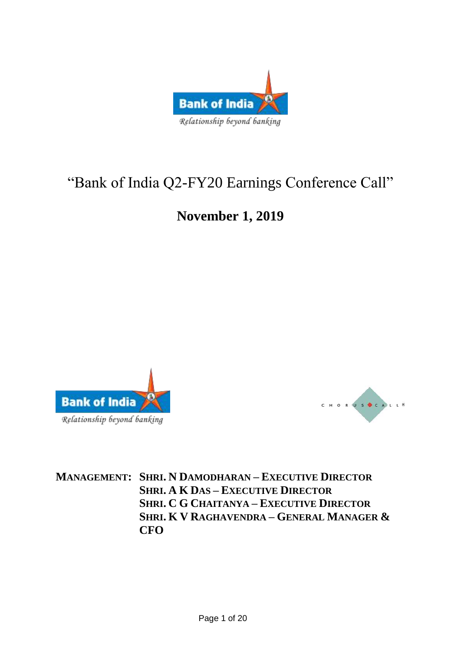

# "Bank of India Q2-FY20 Earnings Conference Call"

## **November 1, 2019**





**MANAGEMENT: SHRI. N DAMODHARAN – EXECUTIVE DIRECTOR SHRI. A K DAS – EXECUTIVE DIRECTOR SHRI. C G CHAITANYA – EXECUTIVE DIRECTOR SHRI. K V RAGHAVENDRA – GENERAL MANAGER & CFO**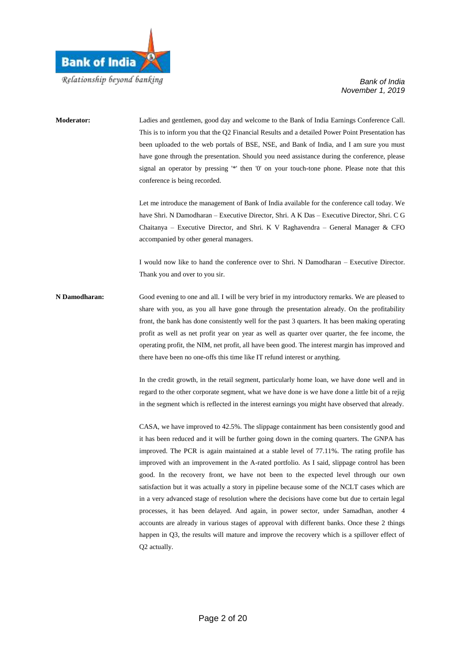

### **Moderator:** Ladies and gentlemen, good day and welcome to the Bank of India Earnings Conference Call. This is to inform you that the Q2 Financial Results and a detailed Power Point Presentation has been uploaded to the web portals of BSE, NSE, and Bank of India, and I am sure you must have gone through the presentation. Should you need assistance during the conference, please signal an operator by pressing '\*' then '0' on your touch-tone phone. Please note that this conference is being recorded. Let me introduce the management of Bank of India available for the conference call today. We have Shri. N Damodharan – Executive Director, Shri. A K Das – Executive Director, Shri. C G Chaitanya – Executive Director, and Shri. K V Raghavendra – General Manager & CFO accompanied by other general managers. I would now like to hand the conference over to Shri. N Damodharan – Executive Director. Thank you and over to you sir.

**N Damodharan:** Good evening to one and all. I will be very brief in my introductory remarks. We are pleased to share with you, as you all have gone through the presentation already. On the profitability front, the bank has done consistently well for the past 3 quarters. It has been making operating profit as well as net profit year on year as well as quarter over quarter, the fee income, the operating profit, the NIM, net profit, all have been good. The interest margin has improved and there have been no one-offs this time like IT refund interest or anything.

> In the credit growth, in the retail segment, particularly home loan, we have done well and in regard to the other corporate segment, what we have done is we have done a little bit of a rejig in the segment which is reflected in the interest earnings you might have observed that already.

> CASA, we have improved to 42.5%. The slippage containment has been consistently good and it has been reduced and it will be further going down in the coming quarters. The GNPA has improved. The PCR is again maintained at a stable level of 77.11%. The rating profile has improved with an improvement in the A-rated portfolio. As I said, slippage control has been good. In the recovery front, we have not been to the expected level through our own satisfaction but it was actually a story in pipeline because some of the NCLT cases which are in a very advanced stage of resolution where the decisions have come but due to certain legal processes, it has been delayed. And again, in power sector, under Samadhan, another 4 accounts are already in various stages of approval with different banks. Once these 2 things happen in Q3, the results will mature and improve the recovery which is a spillover effect of Q2 actually.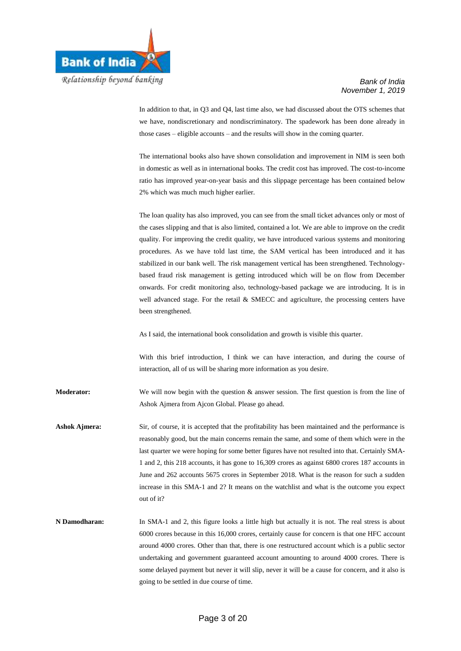

In addition to that, in Q3 and Q4, last time also, we had discussed about the OTS schemes that we have, nondiscretionary and nondiscriminatory. The spadework has been done already in those cases – eligible accounts – and the results will show in the coming quarter.

The international books also have shown consolidation and improvement in NIM is seen both in domestic as well as in international books. The credit cost has improved. The cost-to-income ratio has improved year-on-year basis and this slippage percentage has been contained below 2% which was much much higher earlier.

The loan quality has also improved, you can see from the small ticket advances only or most of the cases slipping and that is also limited, contained a lot. We are able to improve on the credit quality. For improving the credit quality, we have introduced various systems and monitoring procedures. As we have told last time, the SAM vertical has been introduced and it has stabilized in our bank well. The risk management vertical has been strengthened. Technologybased fraud risk management is getting introduced which will be on flow from December onwards. For credit monitoring also, technology-based package we are introducing. It is in well advanced stage. For the retail & SMECC and agriculture, the processing centers have been strengthened.

As I said, the international book consolidation and growth is visible this quarter.

With this brief introduction, I think we can have interaction, and during the course of interaction, all of us will be sharing more information as you desire.

**Moderator:** We will now begin with the question & answer session. The first question is from the line of Ashok Ajmera from Ajcon Global. Please go ahead.

- Ashok Ajmera: Sir, of course, it is accepted that the profitability has been maintained and the performance is reasonably good, but the main concerns remain the same, and some of them which were in the last quarter we were hoping for some better figures have not resulted into that. Certainly SMA-1 and 2, this 218 accounts, it has gone to 16,309 crores as against 6800 crores 187 accounts in June and 262 accounts 5675 crores in September 2018. What is the reason for such a sudden increase in this SMA-1 and 2? It means on the watchlist and what is the outcome you expect out of it?
- **N Damodharan:** In SMA-1 and 2, this figure looks a little high but actually it is not. The real stress is about 6000 crores because in this 16,000 crores, certainly cause for concern is that one HFC account around 4000 crores. Other than that, there is one restructured account which is a public sector undertaking and government guaranteed account amounting to around 4000 crores. There is some delayed payment but never it will slip, never it will be a cause for concern, and it also is going to be settled in due course of time.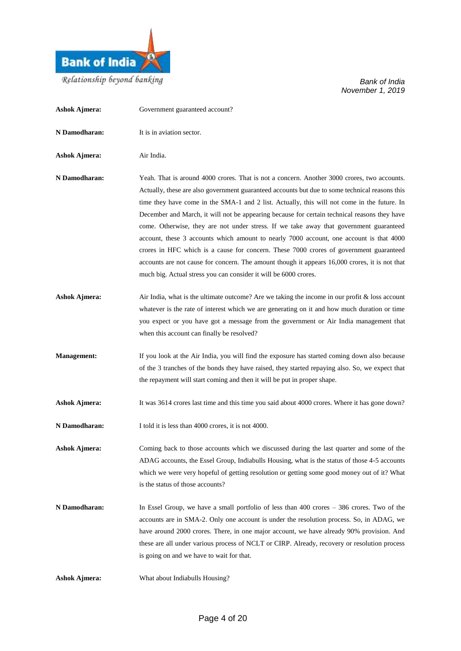

| <b>Ashok Ajmera:</b> | Government guaranteed account?                                                                                                                                                                                                                                                                                                                                                                                                                                                                                                                                                                                                                                                                                                                                                                                                                    |
|----------------------|---------------------------------------------------------------------------------------------------------------------------------------------------------------------------------------------------------------------------------------------------------------------------------------------------------------------------------------------------------------------------------------------------------------------------------------------------------------------------------------------------------------------------------------------------------------------------------------------------------------------------------------------------------------------------------------------------------------------------------------------------------------------------------------------------------------------------------------------------|
| N Damodharan:        | It is in aviation sector.                                                                                                                                                                                                                                                                                                                                                                                                                                                                                                                                                                                                                                                                                                                                                                                                                         |
| <b>Ashok Ajmera:</b> | Air India.                                                                                                                                                                                                                                                                                                                                                                                                                                                                                                                                                                                                                                                                                                                                                                                                                                        |
| N Damodharan:        | Yeah. That is around 4000 crores. That is not a concern. Another 3000 crores, two accounts.<br>Actually, these are also government guaranteed accounts but due to some technical reasons this<br>time they have come in the SMA-1 and 2 list. Actually, this will not come in the future. In<br>December and March, it will not be appearing because for certain technical reasons they have<br>come. Otherwise, they are not under stress. If we take away that government guaranteed<br>account, these 3 accounts which amount to nearly 7000 account, one account is that 4000<br>crores in HFC which is a cause for concern. These 7000 crores of government guaranteed<br>accounts are not cause for concern. The amount though it appears 16,000 crores, it is not that<br>much big. Actual stress you can consider it will be 6000 crores. |
| <b>Ashok Ajmera:</b> | Air India, what is the ultimate outcome? Are we taking the income in our profit $\&$ loss account<br>whatever is the rate of interest which we are generating on it and how much duration or time<br>you expect or you have got a message from the government or Air India management that<br>when this account can finally be resolved?                                                                                                                                                                                                                                                                                                                                                                                                                                                                                                          |
| <b>Management:</b>   | If you look at the Air India, you will find the exposure has started coming down also because<br>of the 3 tranches of the bonds they have raised, they started repaying also. So, we expect that<br>the repayment will start coming and then it will be put in proper shape.                                                                                                                                                                                                                                                                                                                                                                                                                                                                                                                                                                      |
| <b>Ashok Ajmera:</b> | It was 3614 crores last time and this time you said about 4000 crores. Where it has gone down?                                                                                                                                                                                                                                                                                                                                                                                                                                                                                                                                                                                                                                                                                                                                                    |
| N Damodharan:        | I told it is less than 4000 crores, it is not 4000.                                                                                                                                                                                                                                                                                                                                                                                                                                                                                                                                                                                                                                                                                                                                                                                               |
| <b>Ashok Ajmera:</b> | Coming back to those accounts which we discussed during the last quarter and some of the<br>ADAG accounts, the Essel Group, Indiabulls Housing, what is the status of those 4-5 accounts<br>which we were very hopeful of getting resolution or getting some good money out of it? What<br>is the status of those accounts?                                                                                                                                                                                                                                                                                                                                                                                                                                                                                                                       |
| N Damodharan:        | In Essel Group, we have a small portfolio of less than $400$ crores $-386$ crores. Two of the<br>accounts are in SMA-2. Only one account is under the resolution process. So, in ADAG, we<br>have around 2000 crores. There, in one major account, we have already 90% provision. And<br>these are all under various process of NCLT or CIRP. Already, recovery or resolution process<br>is going on and we have to wait for that.                                                                                                                                                                                                                                                                                                                                                                                                                |
| <b>Ashok Ajmera:</b> | What about Indiabulls Housing?                                                                                                                                                                                                                                                                                                                                                                                                                                                                                                                                                                                                                                                                                                                                                                                                                    |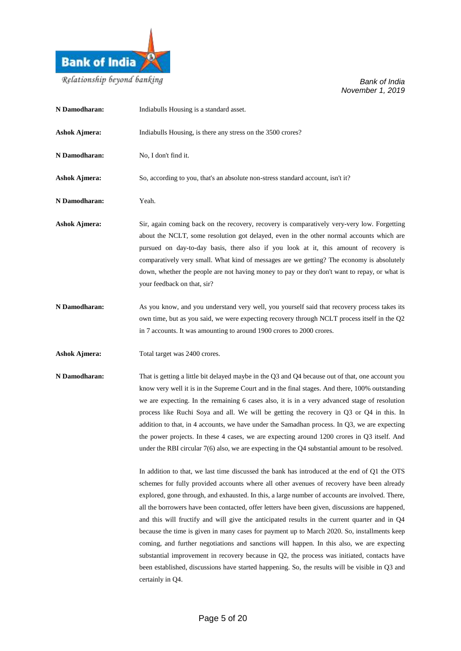

Relationship beyond banking

| N Damodharan:        | Indiabulls Housing is a standard asset.                                                                                                                                                                                                                                                                                                                                                                                                                                                                                                                                                                                                                                                                                                                                                                                                                                                                               |
|----------------------|-----------------------------------------------------------------------------------------------------------------------------------------------------------------------------------------------------------------------------------------------------------------------------------------------------------------------------------------------------------------------------------------------------------------------------------------------------------------------------------------------------------------------------------------------------------------------------------------------------------------------------------------------------------------------------------------------------------------------------------------------------------------------------------------------------------------------------------------------------------------------------------------------------------------------|
| <b>Ashok Ajmera:</b> | Indiabulls Housing, is there any stress on the 3500 crores?                                                                                                                                                                                                                                                                                                                                                                                                                                                                                                                                                                                                                                                                                                                                                                                                                                                           |
| N Damodharan:        | No, I don't find it.                                                                                                                                                                                                                                                                                                                                                                                                                                                                                                                                                                                                                                                                                                                                                                                                                                                                                                  |
| <b>Ashok Ajmera:</b> | So, according to you, that's an absolute non-stress standard account, isn't it?                                                                                                                                                                                                                                                                                                                                                                                                                                                                                                                                                                                                                                                                                                                                                                                                                                       |
| N Damodharan:        | Yeah.                                                                                                                                                                                                                                                                                                                                                                                                                                                                                                                                                                                                                                                                                                                                                                                                                                                                                                                 |
| <b>Ashok Ajmera:</b> | Sir, again coming back on the recovery, recovery is comparatively very-very low. Forgetting<br>about the NCLT, some resolution got delayed, even in the other normal accounts which are<br>pursued on day-to-day basis, there also if you look at it, this amount of recovery is<br>comparatively very small. What kind of messages are we getting? The economy is absolutely<br>down, whether the people are not having money to pay or they don't want to repay, or what is<br>your feedback on that, sir?                                                                                                                                                                                                                                                                                                                                                                                                          |
| N Damodharan:        | As you know, and you understand very well, you yourself said that recovery process takes its<br>own time, but as you said, we were expecting recovery through NCLT process itself in the Q2<br>in 7 accounts. It was amounting to around 1900 crores to 2000 crores.                                                                                                                                                                                                                                                                                                                                                                                                                                                                                                                                                                                                                                                  |
| <b>Ashok Ajmera:</b> | Total target was 2400 crores.                                                                                                                                                                                                                                                                                                                                                                                                                                                                                                                                                                                                                                                                                                                                                                                                                                                                                         |
| N Damodharan:        | That is getting a little bit delayed maybe in the Q3 and Q4 because out of that, one account you<br>know very well it is in the Supreme Court and in the final stages. And there, 100% outstanding<br>we are expecting. In the remaining 6 cases also, it is in a very advanced stage of resolution<br>process like Ruchi Soya and all. We will be getting the recovery in Q3 or Q4 in this. In<br>addition to that, in 4 accounts, we have under the Samadhan process. In Q3, we are expecting<br>the power projects. In these 4 cases, we are expecting around 1200 crores in Q3 itself. And<br>under the RBI circular $7(6)$ also, we are expecting in the Q4 substantial amount to be resolved.                                                                                                                                                                                                                   |
|                      | In addition to that, we last time discussed the bank has introduced at the end of Q1 the OTS<br>schemes for fully provided accounts where all other avenues of recovery have been already<br>explored, gone through, and exhausted. In this, a large number of accounts are involved. There,<br>all the borrowers have been contacted, offer letters have been given, discussions are happened,<br>and this will fructify and will give the anticipated results in the current quarter and in $Q4$<br>because the time is given in many cases for payment up to March 2020. So, installments keep<br>coming, and further negotiations and sanctions will happen. In this also, we are expecting<br>substantial improvement in recovery because in Q2, the process was initiated, contacts have<br>been established, discussions have started happening. So, the results will be visible in Q3 and<br>certainly in Q4. |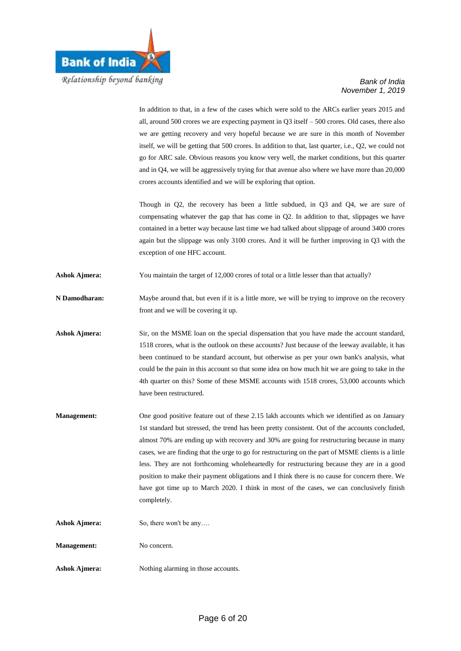

In addition to that, in a few of the cases which were sold to the ARCs earlier years 2015 and all, around 500 crores we are expecting payment in Q3 itself – 500 crores. Old cases, there also we are getting recovery and very hopeful because we are sure in this month of November itself, we will be getting that 500 crores. In addition to that, last quarter, i.e., Q2, we could not go for ARC sale. Obvious reasons you know very well, the market conditions, but this quarter and in Q4, we will be aggressively trying for that avenue also where we have more than 20,000 crores accounts identified and we will be exploring that option.

Though in Q2, the recovery has been a little subdued, in Q3 and Q4, we are sure of compensating whatever the gap that has come in Q2. In addition to that, slippages we have contained in a better way because last time we had talked about slippage of around 3400 crores again but the slippage was only 3100 crores. And it will be further improving in Q3 with the exception of one HFC account.

Ashok Ajmera: You maintain the target of 12,000 crores of total or a little lesser than that actually?

**N Damodharan:** Maybe around that, but even if it is a little more, we will be trying to improve on the recovery front and we will be covering it up.

Ashok Ajmera: Sir, on the MSME loan on the special dispensation that you have made the account standard, 1518 crores, what is the outlook on these accounts? Just because of the leeway available, it has been continued to be standard account, but otherwise as per your own bank's analysis, what could be the pain in this account so that some idea on how much hit we are going to take in the 4th quarter on this? Some of these MSME accounts with 1518 crores, 53,000 accounts which have been restructured.

**Management:** One good positive feature out of these 2.15 lakh accounts which we identified as on January 1st standard but stressed, the trend has been pretty consistent. Out of the accounts concluded, almost 70% are ending up with recovery and 30% are going for restructuring because in many cases, we are finding that the urge to go for restructuring on the part of MSME clients is a little less. They are not forthcoming wholeheartedly for restructuring because they are in a good position to make their payment obligations and I think there is no cause for concern there. We have got time up to March 2020. I think in most of the cases, we can conclusively finish completely.

Ashok Ajmera: So, there won't be any....

**Management:** No concern.

Ashok Ajmera: Nothing alarming in those accounts.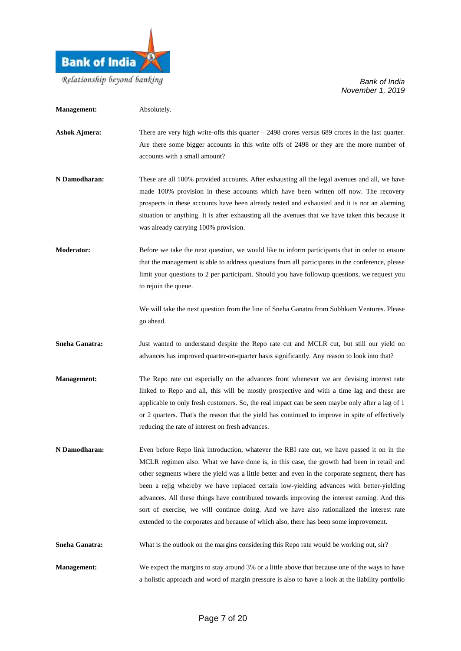

| <b>Management:</b> | Absolutely.                                                                                                                                                                                                                                                                                                                                                                                                                                                                                                                                                                                                                                                                  |
|--------------------|------------------------------------------------------------------------------------------------------------------------------------------------------------------------------------------------------------------------------------------------------------------------------------------------------------------------------------------------------------------------------------------------------------------------------------------------------------------------------------------------------------------------------------------------------------------------------------------------------------------------------------------------------------------------------|
| Ashok Ajmera:      | There are very high write-offs this quarter $-2498$ crores versus 689 crores in the last quarter.<br>Are there some bigger accounts in this write offs of 2498 or they are the more number of<br>accounts with a small amount?                                                                                                                                                                                                                                                                                                                                                                                                                                               |
| N Damodharan:      | These are all 100% provided accounts. After exhausting all the legal avenues and all, we have<br>made 100% provision in these accounts which have been written off now. The recovery<br>prospects in these accounts have been already tested and exhausted and it is not an alarming<br>situation or anything. It is after exhausting all the avenues that we have taken this because it<br>was already carrying 100% provision.                                                                                                                                                                                                                                             |
| <b>Moderator:</b>  | Before we take the next question, we would like to inform participants that in order to ensure<br>that the management is able to address questions from all participants in the conference, please<br>limit your questions to 2 per participant. Should you have followup questions, we request you<br>to rejoin the queue.                                                                                                                                                                                                                                                                                                                                                  |
|                    | We will take the next question from the line of Sneha Ganatra from Subhkam Ventures. Please<br>go ahead.                                                                                                                                                                                                                                                                                                                                                                                                                                                                                                                                                                     |
| Sneha Ganatra:     | Just wanted to understand despite the Repo rate cut and MCLR cut, but still our yield on<br>advances has improved quarter-on-quarter basis significantly. Any reason to look into that?                                                                                                                                                                                                                                                                                                                                                                                                                                                                                      |
| Management:        | The Repo rate cut especially on the advances front whenever we are devising interest rate<br>linked to Repo and all, this will be mostly prospective and with a time lag and these are<br>applicable to only fresh customers. So, the real impact can be seen maybe only after a lag of 1<br>or 2 quarters. That's the reason that the yield has continued to improve in spite of effectively<br>reducing the rate of interest on fresh advances.                                                                                                                                                                                                                            |
| N Damodharan:      | Even before Repo link introduction, whatever the RBI rate cut, we have passed it on in the<br>MCLR regimen also. What we have done is, in this case, the growth had been in retail and<br>other segments where the yield was a little better and even in the corporate segment, there has<br>been a rejig whereby we have replaced certain low-yielding advances with better-yielding<br>advances. All these things have contributed towards improving the interest earning. And this<br>sort of exercise, we will continue doing. And we have also rationalized the interest rate<br>extended to the corporates and because of which also, there has been some improvement. |
| Sneha Ganatra:     | What is the outlook on the margins considering this Repo rate would be working out, sir?                                                                                                                                                                                                                                                                                                                                                                                                                                                                                                                                                                                     |
| <b>Management:</b> | We expect the margins to stay around 3% or a little above that because one of the ways to have<br>a holistic approach and word of margin pressure is also to have a look at the liability portfolio                                                                                                                                                                                                                                                                                                                                                                                                                                                                          |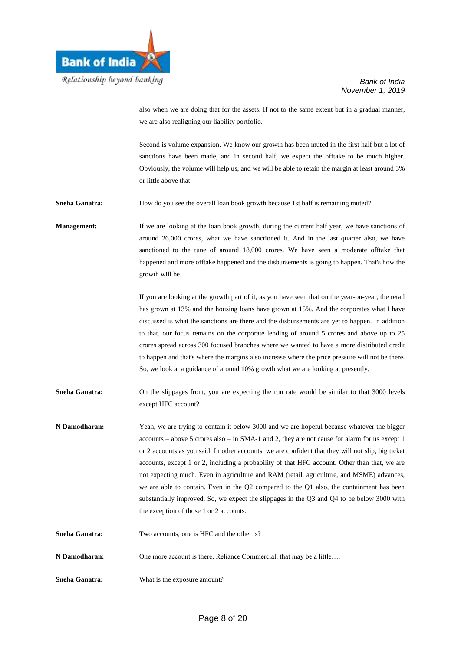

also when we are doing that for the assets. If not to the same extent but in a gradual manner, we are also realigning our liability portfolio.

Second is volume expansion. We know our growth has been muted in the first half but a lot of sanctions have been made, and in second half, we expect the offtake to be much higher. Obviously, the volume will help us, and we will be able to retain the margin at least around 3% or little above that.

**Sneha Ganatra:** How do you see the overall loan book growth because 1st half is remaining muted?

**Management:** If we are looking at the loan book growth, during the current half year, we have sanctions of around 26,000 crores, what we have sanctioned it. And in the last quarter also, we have sanctioned to the tune of around 18,000 crores. We have seen a moderate offtake that happened and more offtake happened and the disbursements is going to happen. That's how the growth will be.

> If you are looking at the growth part of it, as you have seen that on the year-on-year, the retail has grown at 13% and the housing loans have grown at 15%. And the corporates what I have discussed is what the sanctions are there and the disbursements are yet to happen. In addition to that, our focus remains on the corporate lending of around 5 crores and above up to 25 crores spread across 300 focused branches where we wanted to have a more distributed credit to happen and that's where the margins also increase where the price pressure will not be there. So, we look at a guidance of around 10% growth what we are looking at presently.

Sneha Ganatra: On the slippages front, you are expecting the run rate would be similar to that 3000 levels except HFC account?

- **N Damodharan:** Yeah, we are trying to contain it below 3000 and we are hopeful because whatever the bigger accounts – above 5 crores also – in SMA-1 and 2, they are not cause for alarm for us except 1 or 2 accounts as you said. In other accounts, we are confident that they will not slip, big ticket accounts, except 1 or 2, including a probability of that HFC account. Other than that, we are not expecting much. Even in agriculture and RAM (retail, agriculture, and MSME) advances, we are able to contain. Even in the Q2 compared to the Q1 also, the containment has been substantially improved. So, we expect the slippages in the Q3 and Q4 to be below 3000 with the exception of those 1 or 2 accounts.
- **Sneha Ganatra:** Two accounts, one is HFC and the other is?
- **N Damodharan:** One more account is there, Reliance Commercial, that may be a little....
- **Sneha Ganatra:** What is the exposure amount?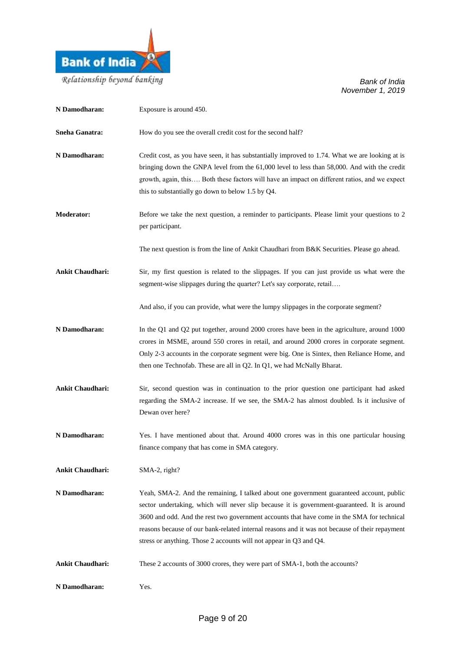

| N Damodharan:           | Exposure is around 450.                                                                                                                                                                                                                                                                                                                                                                                                                                       |
|-------------------------|---------------------------------------------------------------------------------------------------------------------------------------------------------------------------------------------------------------------------------------------------------------------------------------------------------------------------------------------------------------------------------------------------------------------------------------------------------------|
| <b>Sneha Ganatra:</b>   | How do you see the overall credit cost for the second half?                                                                                                                                                                                                                                                                                                                                                                                                   |
| N Damodharan:           | Credit cost, as you have seen, it has substantially improved to 1.74. What we are looking at is<br>bringing down the GNPA level from the 61,000 level to less than 58,000. And with the credit<br>growth, again, this Both these factors will have an impact on different ratios, and we expect<br>this to substantially go down to below 1.5 by Q4.                                                                                                          |
| <b>Moderator:</b>       | Before we take the next question, a reminder to participants. Please limit your questions to 2<br>per participant.                                                                                                                                                                                                                                                                                                                                            |
|                         | The next question is from the line of Ankit Chaudhari from B&K Securities. Please go ahead.                                                                                                                                                                                                                                                                                                                                                                   |
| <b>Ankit Chaudhari:</b> | Sir, my first question is related to the slippages. If you can just provide us what were the<br>segment-wise slippages during the quarter? Let's say corporate, retail                                                                                                                                                                                                                                                                                        |
|                         | And also, if you can provide, what were the lumpy slippages in the corporate segment?                                                                                                                                                                                                                                                                                                                                                                         |
| N Damodharan:           | In the Q1 and Q2 put together, around 2000 crores have been in the agriculture, around 1000<br>crores in MSME, around 550 crores in retail, and around 2000 crores in corporate segment.<br>Only 2-3 accounts in the corporate segment were big. One is Sintex, then Reliance Home, and<br>then one Technofab. These are all in Q2. In Q1, we had McNally Bharat.                                                                                             |
| <b>Ankit Chaudhari:</b> | Sir, second question was in continuation to the prior question one participant had asked<br>regarding the SMA-2 increase. If we see, the SMA-2 has almost doubled. Is it inclusive of<br>Dewan over here?                                                                                                                                                                                                                                                     |
| N Damodharan:           | Yes. I have mentioned about that. Around 4000 crores was in this one particular housing<br>finance company that has come in SMA category.                                                                                                                                                                                                                                                                                                                     |
| <b>Ankit Chaudhari:</b> | $SMA-2$ , right?                                                                                                                                                                                                                                                                                                                                                                                                                                              |
| N Damodharan:           | Yeah, SMA-2. And the remaining, I talked about one government guaranteed account, public<br>sector undertaking, which will never slip because it is government-guaranteed. It is around<br>3600 and odd. And the rest two government accounts that have come in the SMA for technical<br>reasons because of our bank-related internal reasons and it was not because of their repayment<br>stress or anything. Those 2 accounts will not appear in Q3 and Q4. |
| <b>Ankit Chaudhari:</b> | These 2 accounts of 3000 crores, they were part of SMA-1, both the accounts?                                                                                                                                                                                                                                                                                                                                                                                  |
| N Damodharan:           | Yes.                                                                                                                                                                                                                                                                                                                                                                                                                                                          |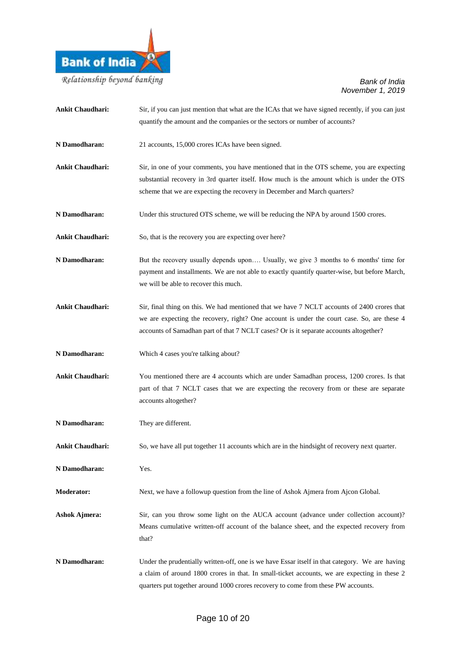

| <b>Ankit Chaudhari:</b> | Sir, if you can just mention that what are the ICAs that we have signed recently, if you can just<br>quantify the amount and the companies or the sectors or number of accounts?                                                                                                     |
|-------------------------|--------------------------------------------------------------------------------------------------------------------------------------------------------------------------------------------------------------------------------------------------------------------------------------|
| N Damodharan:           | 21 accounts, 15,000 crores ICAs have been signed.                                                                                                                                                                                                                                    |
| <b>Ankit Chaudhari:</b> | Sir, in one of your comments, you have mentioned that in the OTS scheme, you are expecting<br>substantial recovery in 3rd quarter itself. How much is the amount which is under the OTS<br>scheme that we are expecting the recovery in December and March quarters?                 |
| N Damodharan:           | Under this structured OTS scheme, we will be reducing the NPA by around 1500 crores.                                                                                                                                                                                                 |
| <b>Ankit Chaudhari:</b> | So, that is the recovery you are expecting over here?                                                                                                                                                                                                                                |
| N Damodharan:           | But the recovery usually depends upon Usually, we give 3 months to 6 months' time for<br>payment and installments. We are not able to exactly quantify quarter-wise, but before March,<br>we will be able to recover this much.                                                      |
| <b>Ankit Chaudhari:</b> | Sir, final thing on this. We had mentioned that we have 7 NCLT accounts of 2400 crores that<br>we are expecting the recovery, right? One account is under the court case. So, are these 4<br>accounts of Samadhan part of that 7 NCLT cases? Or is it separate accounts altogether?  |
| N Damodharan:           | Which 4 cases you're talking about?                                                                                                                                                                                                                                                  |
| <b>Ankit Chaudhari:</b> | You mentioned there are 4 accounts which are under Samadhan process, 1200 crores. Is that<br>part of that 7 NCLT cases that we are expecting the recovery from or these are separate<br>accounts altogether?                                                                         |
| N Damodharan:           | They are different.                                                                                                                                                                                                                                                                  |
| <b>Ankit Chaudhari:</b> | So, we have all put together 11 accounts which are in the hindsight of recovery next quarter.                                                                                                                                                                                        |
| N Damodharan:           | Yes.                                                                                                                                                                                                                                                                                 |
| Moderator:              | Next, we have a followup question from the line of Ashok Ajmera from Ajcon Global.                                                                                                                                                                                                   |
| <b>Ashok Ajmera:</b>    | Sir, can you throw some light on the AUCA account (advance under collection account)?<br>Means cumulative written-off account of the balance sheet, and the expected recovery from<br>that?                                                                                          |
| N Damodharan:           | Under the prudentially written-off, one is we have Essar itself in that category. We are having<br>a claim of around 1800 crores in that. In small-ticket accounts, we are expecting in these 2<br>quarters put together around 1000 crores recovery to come from these PW accounts. |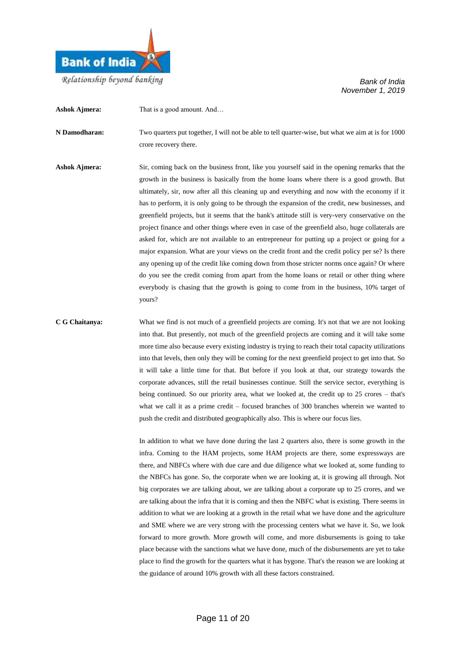

**Ashok Ajmera:** That is a good amount. And...

**N Damodharan:** Two quarters put together, I will not be able to tell quarter-wise, but what we aim at is for 1000 crore recovery there.

**Ashok Ajmera:** Sir, coming back on the business front, like you yourself said in the opening remarks that the growth in the business is basically from the home loans where there is a good growth. But ultimately, sir, now after all this cleaning up and everything and now with the economy if it has to perform, it is only going to be through the expansion of the credit, new businesses, and greenfield projects, but it seems that the bank's attitude still is very-very conservative on the project finance and other things where even in case of the greenfield also, huge collaterals are asked for, which are not available to an entrepreneur for putting up a project or going for a major expansion. What are your views on the credit front and the credit policy per se? Is there any opening up of the credit like coming down from those stricter norms once again? Or where do you see the credit coming from apart from the home loans or retail or other thing where everybody is chasing that the growth is going to come from in the business, 10% target of yours?

**C G Chaitanya:** What we find is not much of a greenfield projects are coming. It's not that we are not looking into that. But presently, not much of the greenfield projects are coming and it will take some more time also because every existing industry is trying to reach their total capacity utilizations into that levels, then only they will be coming for the next greenfield project to get into that. So it will take a little time for that. But before if you look at that, our strategy towards the corporate advances, still the retail businesses continue. Still the service sector, everything is being continued. So our priority area, what we looked at, the credit up to 25 crores – that's what we call it as a prime credit – focused branches of 300 branches wherein we wanted to push the credit and distributed geographically also. This is where our focus lies.

> In addition to what we have done during the last 2 quarters also, there is some growth in the infra. Coming to the HAM projects, some HAM projects are there, some expressways are there, and NBFCs where with due care and due diligence what we looked at, some funding to the NBFCs has gone. So, the corporate when we are looking at, it is growing all through. Not big corporates we are talking about, we are talking about a corporate up to 25 crores, and we are talking about the infra that it is coming and then the NBFC what is existing. There seems in addition to what we are looking at a growth in the retail what we have done and the agriculture and SME where we are very strong with the processing centers what we have it. So, we look forward to more growth. More growth will come, and more disbursements is going to take place because with the sanctions what we have done, much of the disbursements are yet to take place to find the growth for the quarters what it has bygone. That's the reason we are looking at the guidance of around 10% growth with all these factors constrained.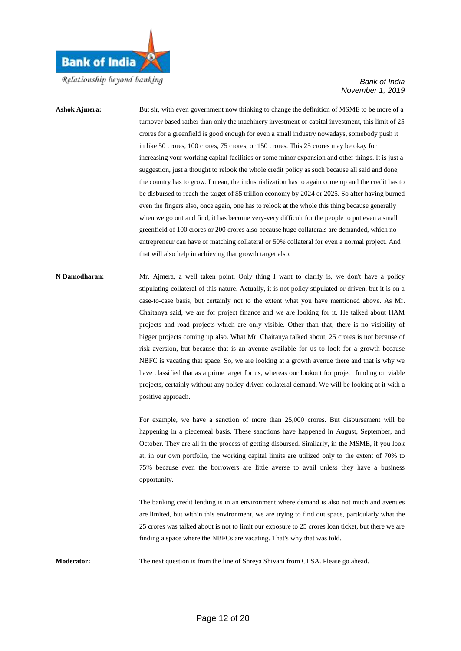

Ashok Ajmera: But sir, with even government now thinking to change the definition of MSME to be more of a turnover based rather than only the machinery investment or capital investment, this limit of 25 crores for a greenfield is good enough for even a small industry nowadays, somebody push it in like 50 crores, 100 crores, 75 crores, or 150 crores. This 25 crores may be okay for increasing your working capital facilities or some minor expansion and other things. It is just a suggestion, just a thought to relook the whole credit policy as such because all said and done, the country has to grow. I mean, the industrialization has to again come up and the credit has to be disbursed to reach the target of \$5 trillion economy by 2024 or 2025. So after having burned even the fingers also, once again, one has to relook at the whole this thing because generally when we go out and find, it has become very-very difficult for the people to put even a small greenfield of 100 crores or 200 crores also because huge collaterals are demanded, which no entrepreneur can have or matching collateral or 50% collateral for even a normal project. And that will also help in achieving that growth target also.

**N Damodharan:** Mr. Ajmera, a well taken point. Only thing I want to clarify is, we don't have a policy stipulating collateral of this nature. Actually, it is not policy stipulated or driven, but it is on a case-to-case basis, but certainly not to the extent what you have mentioned above. As Mr. Chaitanya said, we are for project finance and we are looking for it. He talked about HAM projects and road projects which are only visible. Other than that, there is no visibility of bigger projects coming up also. What Mr. Chaitanya talked about, 25 crores is not because of risk aversion, but because that is an avenue available for us to look for a growth because NBFC is vacating that space. So, we are looking at a growth avenue there and that is why we have classified that as a prime target for us, whereas our lookout for project funding on viable projects, certainly without any policy-driven collateral demand. We will be looking at it with a positive approach.

> For example, we have a sanction of more than 25,000 crores. But disbursement will be happening in a piecemeal basis. These sanctions have happened in August, September, and October. They are all in the process of getting disbursed. Similarly, in the MSME, if you look at, in our own portfolio, the working capital limits are utilized only to the extent of 70% to 75% because even the borrowers are little averse to avail unless they have a business opportunity.

> The banking credit lending is in an environment where demand is also not much and avenues are limited, but within this environment, we are trying to find out space, particularly what the 25 crores was talked about is not to limit our exposure to 25 crores loan ticket, but there we are finding a space where the NBFCs are vacating. That's why that was told.

**Moderator:** The next question is from the line of Shreya Shivani from CLSA. Please go ahead.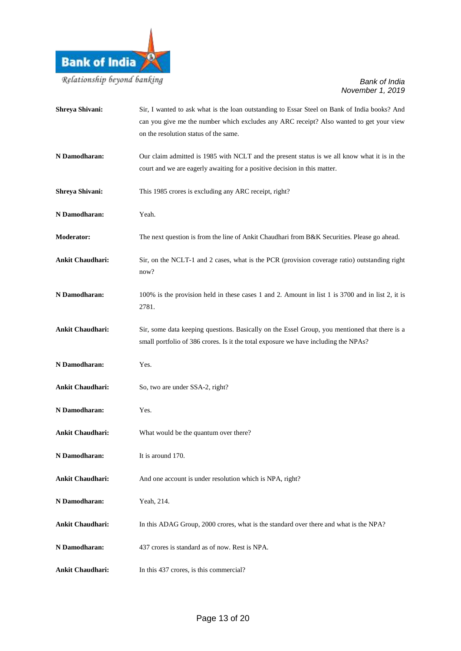

| Shreya Shivani:         | Sir, I wanted to ask what is the loan outstanding to Essar Steel on Bank of India books? And<br>can you give me the number which excludes any ARC receipt? Also wanted to get your view<br>on the resolution status of the same. |
|-------------------------|----------------------------------------------------------------------------------------------------------------------------------------------------------------------------------------------------------------------------------|
| N Damodharan:           | Our claim admitted is 1985 with NCLT and the present status is we all know what it is in the<br>court and we are eagerly awaiting for a positive decision in this matter.                                                        |
| Shreya Shivani:         | This 1985 crores is excluding any ARC receipt, right?                                                                                                                                                                            |
| N Damodharan:           | Yeah.                                                                                                                                                                                                                            |
| <b>Moderator:</b>       | The next question is from the line of Ankit Chaudhari from B&K Securities. Please go ahead.                                                                                                                                      |
| <b>Ankit Chaudhari:</b> | Sir, on the NCLT-1 and 2 cases, what is the PCR (provision coverage ratio) outstanding right<br>now?                                                                                                                             |
| N Damodharan:           | 100% is the provision held in these cases 1 and 2. Amount in list 1 is 3700 and in list 2, it is<br>2781.                                                                                                                        |
| <b>Ankit Chaudhari:</b> | Sir, some data keeping questions. Basically on the Essel Group, you mentioned that there is a<br>small portfolio of 386 crores. Is it the total exposure we have including the NPAs?                                             |
| N Damodharan:           | Yes.                                                                                                                                                                                                                             |
| <b>Ankit Chaudhari:</b> | So, two are under SSA-2, right?                                                                                                                                                                                                  |
| N Damodharan:           | Yes.                                                                                                                                                                                                                             |
| <b>Ankit Chaudhari:</b> | What would be the quantum over there?                                                                                                                                                                                            |
| N Damodharan:           | It is around 170.                                                                                                                                                                                                                |
| <b>Ankit Chaudhari:</b> | And one account is under resolution which is NPA, right?                                                                                                                                                                         |
| N Damodharan:           | Yeah, 214.                                                                                                                                                                                                                       |
| <b>Ankit Chaudhari:</b> | In this ADAG Group, 2000 crores, what is the standard over there and what is the NPA?                                                                                                                                            |
| N Damodharan:           | 437 crores is standard as of now. Rest is NPA.                                                                                                                                                                                   |
| <b>Ankit Chaudhari:</b> | In this 437 crores, is this commercial?                                                                                                                                                                                          |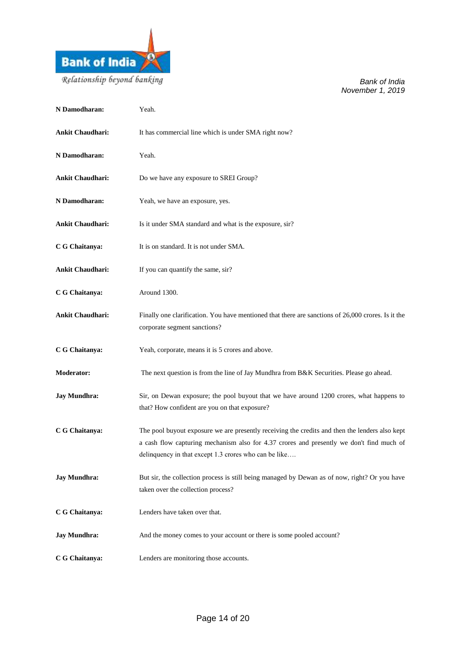

| N Damodharan:           | Yeah.                                                                                                                                                                                                                                               |
|-------------------------|-----------------------------------------------------------------------------------------------------------------------------------------------------------------------------------------------------------------------------------------------------|
| <b>Ankit Chaudhari:</b> | It has commercial line which is under SMA right now?                                                                                                                                                                                                |
| N Damodharan:           | Yeah.                                                                                                                                                                                                                                               |
| <b>Ankit Chaudhari:</b> | Do we have any exposure to SREI Group?                                                                                                                                                                                                              |
| N Damodharan:           | Yeah, we have an exposure, yes.                                                                                                                                                                                                                     |
| <b>Ankit Chaudhari:</b> | Is it under SMA standard and what is the exposure, sir?                                                                                                                                                                                             |
| C G Chaitanya:          | It is on standard. It is not under SMA.                                                                                                                                                                                                             |
| <b>Ankit Chaudhari:</b> | If you can quantify the same, sir?                                                                                                                                                                                                                  |
| C G Chaitanya:          | Around 1300.                                                                                                                                                                                                                                        |
| <b>Ankit Chaudhari:</b> | Finally one clarification. You have mentioned that there are sanctions of 26,000 crores. Is it the<br>corporate segment sanctions?                                                                                                                  |
| C G Chaitanya:          | Yeah, corporate, means it is 5 crores and above.                                                                                                                                                                                                    |
| <b>Moderator:</b>       | The next question is from the line of Jay Mundhra from B&K Securities. Please go ahead.                                                                                                                                                             |
| <b>Jay Mundhra:</b>     | Sir, on Dewan exposure; the pool buyout that we have around 1200 crores, what happens to<br>that? How confident are you on that exposure?                                                                                                           |
| C G Chaitanya:          | The pool buyout exposure we are presently receiving the credits and then the lenders also kept<br>a cash flow capturing mechanism also for 4.37 crores and presently we don't find much of<br>delinquency in that except 1.3 crores who can be like |
| <b>Jay Mundhra:</b>     | But sir, the collection process is still being managed by Dewan as of now, right? Or you have<br>taken over the collection process?                                                                                                                 |
| C G Chaitanya:          | Lenders have taken over that.                                                                                                                                                                                                                       |
| <b>Jay Mundhra:</b>     | And the money comes to your account or there is some pooled account?                                                                                                                                                                                |
| C G Chaitanya:          | Lenders are monitoring those accounts.                                                                                                                                                                                                              |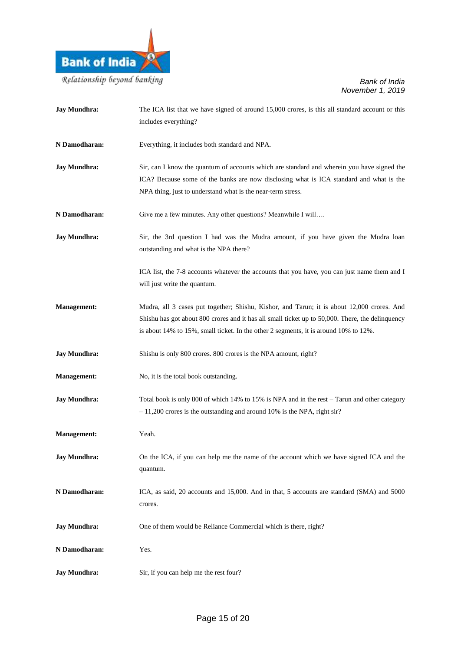

| <b>Jay Mundhra:</b> | The ICA list that we have signed of around 15,000 crores, is this all standard account or this<br>includes everything?                                                                                                                                                                 |
|---------------------|----------------------------------------------------------------------------------------------------------------------------------------------------------------------------------------------------------------------------------------------------------------------------------------|
| N Damodharan:       | Everything, it includes both standard and NPA.                                                                                                                                                                                                                                         |
| <b>Jay Mundhra:</b> | Sir, can I know the quantum of accounts which are standard and wherein you have signed the<br>ICA? Because some of the banks are now disclosing what is ICA standard and what is the<br>NPA thing, just to understand what is the near-term stress.                                    |
| N Damodharan:       | Give me a few minutes. Any other questions? Meanwhile I will                                                                                                                                                                                                                           |
| <b>Jay Mundhra:</b> | Sir, the 3rd question I had was the Mudra amount, if you have given the Mudra loan<br>outstanding and what is the NPA there?                                                                                                                                                           |
|                     | ICA list, the 7-8 accounts whatever the accounts that you have, you can just name them and I<br>will just write the quantum.                                                                                                                                                           |
| <b>Management:</b>  | Mudra, all 3 cases put together; Shishu, Kishor, and Tarun; it is about 12,000 crores. And<br>Shishu has got about 800 crores and it has all small ticket up to 50,000. There, the delinquency<br>is about 14% to 15%, small ticket. In the other 2 segments, it is around 10% to 12%. |
| <b>Jay Mundhra:</b> | Shishu is only 800 crores. 800 crores is the NPA amount, right?                                                                                                                                                                                                                        |
| <b>Management:</b>  | No, it is the total book outstanding.                                                                                                                                                                                                                                                  |
| <b>Jay Mundhra:</b> | Total book is only 800 of which 14% to 15% is NPA and in the rest – Tarun and other category<br>$-11,200$ crores is the outstanding and around 10% is the NPA, right sir?                                                                                                              |
| <b>Management:</b>  | Yeah.                                                                                                                                                                                                                                                                                  |
| <b>Jay Mundhra:</b> | On the ICA, if you can help me the name of the account which we have signed ICA and the<br>quantum.                                                                                                                                                                                    |
| N Damodharan:       | ICA, as said, 20 accounts and 15,000. And in that, 5 accounts are standard (SMA) and 5000<br>crores.                                                                                                                                                                                   |
| <b>Jay Mundhra:</b> | One of them would be Reliance Commercial which is there, right?                                                                                                                                                                                                                        |
| N Damodharan:       | Yes.                                                                                                                                                                                                                                                                                   |
| <b>Jay Mundhra:</b> | Sir, if you can help me the rest four?                                                                                                                                                                                                                                                 |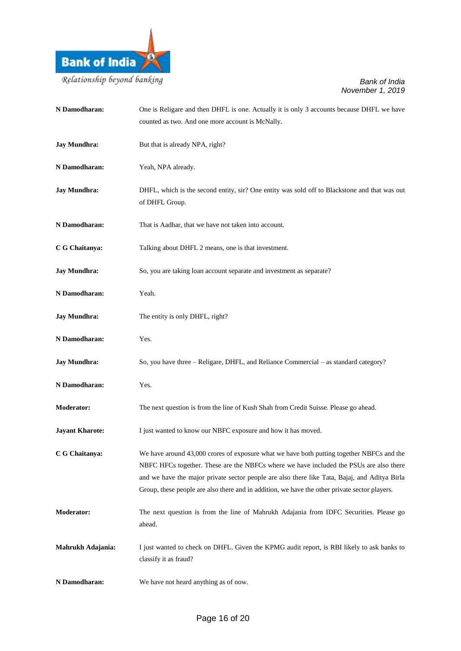

| N Damodharan:          | One is Religare and then DHFL is one. Actually it is only 3 accounts because DHFL we have                                                                                                                                                                                                                                                                                             |
|------------------------|---------------------------------------------------------------------------------------------------------------------------------------------------------------------------------------------------------------------------------------------------------------------------------------------------------------------------------------------------------------------------------------|
|                        | counted as two. And one more account is McNally.                                                                                                                                                                                                                                                                                                                                      |
| <b>Jay Mundhra:</b>    | But that is already NPA, right?                                                                                                                                                                                                                                                                                                                                                       |
| N Damodharan:          | Yeah, NPA already.                                                                                                                                                                                                                                                                                                                                                                    |
| <b>Jay Mundhra:</b>    | DHFL, which is the second entity, sir? One entity was sold off to Blackstone and that was out<br>of DHFL Group.                                                                                                                                                                                                                                                                       |
| N Damodharan:          | That is Aadhar, that we have not taken into account.                                                                                                                                                                                                                                                                                                                                  |
| C G Chaitanya:         | Talking about DHFL 2 means, one is that investment.                                                                                                                                                                                                                                                                                                                                   |
| <b>Jay Mundhra:</b>    | So, you are taking loan account separate and investment as separate?                                                                                                                                                                                                                                                                                                                  |
| N Damodharan:          | Yeah.                                                                                                                                                                                                                                                                                                                                                                                 |
| <b>Jay Mundhra:</b>    | The entity is only DHFL, right?                                                                                                                                                                                                                                                                                                                                                       |
| N Damodharan:          | Yes.                                                                                                                                                                                                                                                                                                                                                                                  |
| <b>Jay Mundhra:</b>    | So, you have three - Religare, DHFL, and Reliance Commercial - as standard category?                                                                                                                                                                                                                                                                                                  |
| N Damodharan:          | Yes.                                                                                                                                                                                                                                                                                                                                                                                  |
| <b>Moderator:</b>      | The next question is from the line of Kush Shah from Credit Suisse. Please go ahead.                                                                                                                                                                                                                                                                                                  |
| <b>Jayant Kharote:</b> | I just wanted to know our NBFC exposure and how it has moved.                                                                                                                                                                                                                                                                                                                         |
| C G Chaitanya:         | We have around 43,000 crores of exposure what we have both putting together NBFCs and the<br>NBFC HFCs together. These are the NBFCs where we have included the PSUs are also there<br>and we have the major private sector people are also there like Tata, Bajaj, and Aditya Birla<br>Group, these people are also there and in addition, we have the other private sector players. |
| <b>Moderator:</b>      | The next question is from the line of Mahrukh Adajania from IDFC Securities. Please go<br>ahead.                                                                                                                                                                                                                                                                                      |
| Mahrukh Adajania:      | I just wanted to check on DHFL. Given the KPMG audit report, is RBI likely to ask banks to<br>classify it as fraud?                                                                                                                                                                                                                                                                   |
| N Damodharan:          | We have not heard anything as of now.                                                                                                                                                                                                                                                                                                                                                 |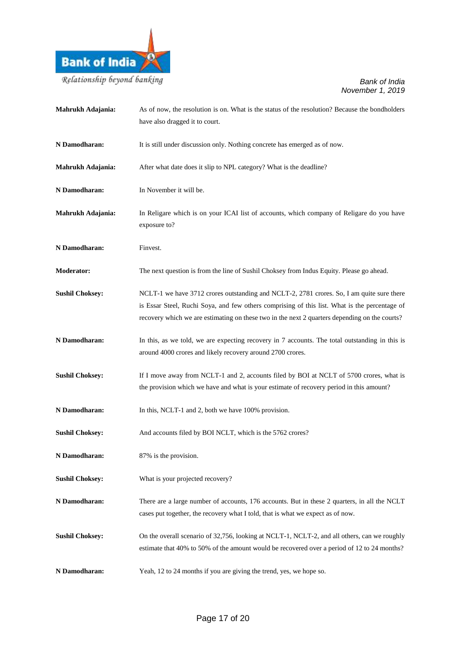

| Mahrukh Adajania:      | As of now, the resolution is on. What is the status of the resolution? Because the bondholders<br>have also dragged it to court.                                                                                                                                                            |
|------------------------|---------------------------------------------------------------------------------------------------------------------------------------------------------------------------------------------------------------------------------------------------------------------------------------------|
| N Damodharan:          | It is still under discussion only. Nothing concrete has emerged as of now.                                                                                                                                                                                                                  |
| Mahrukh Adajania:      | After what date does it slip to NPL category? What is the deadline?                                                                                                                                                                                                                         |
| N Damodharan:          | In November it will be.                                                                                                                                                                                                                                                                     |
| Mahrukh Adajania:      | In Religare which is on your ICAI list of accounts, which company of Religare do you have<br>exposure to?                                                                                                                                                                                   |
| N Damodharan:          | Finvest.                                                                                                                                                                                                                                                                                    |
| <b>Moderator:</b>      | The next question is from the line of Sushil Choksey from Indus Equity. Please go ahead.                                                                                                                                                                                                    |
| <b>Sushil Choksey:</b> | NCLT-1 we have 3712 crores outstanding and NCLT-2, 2781 crores. So, I am quite sure there<br>is Essar Steel, Ruchi Soya, and few others comprising of this list. What is the percentage of<br>recovery which we are estimating on these two in the next 2 quarters depending on the courts? |
| N Damodharan:          | In this, as we told, we are expecting recovery in 7 accounts. The total outstanding in this is<br>around 4000 crores and likely recovery around 2700 crores.                                                                                                                                |
| <b>Sushil Choksey:</b> | If I move away from NCLT-1 and 2, accounts filed by BOI at NCLT of 5700 crores, what is<br>the provision which we have and what is your estimate of recovery period in this amount?                                                                                                         |
| N Damodharan:          | In this, NCLT-1 and 2, both we have 100% provision.                                                                                                                                                                                                                                         |
| <b>Sushil Choksey:</b> | And accounts filed by BOI NCLT, which is the 5762 crores?                                                                                                                                                                                                                                   |
| N Damodharan:          | 87% is the provision.                                                                                                                                                                                                                                                                       |
| <b>Sushil Choksey:</b> | What is your projected recovery?                                                                                                                                                                                                                                                            |
| N Damodharan:          | There are a large number of accounts, 176 accounts. But in these 2 quarters, in all the NCLT<br>cases put together, the recovery what I told, that is what we expect as of now.                                                                                                             |
| <b>Sushil Choksey:</b> | On the overall scenario of 32,756, looking at NCLT-1, NCLT-2, and all others, can we roughly<br>estimate that 40% to 50% of the amount would be recovered over a period of 12 to 24 months?                                                                                                 |
| N Damodharan:          | Yeah, 12 to 24 months if you are giving the trend, yes, we hope so.                                                                                                                                                                                                                         |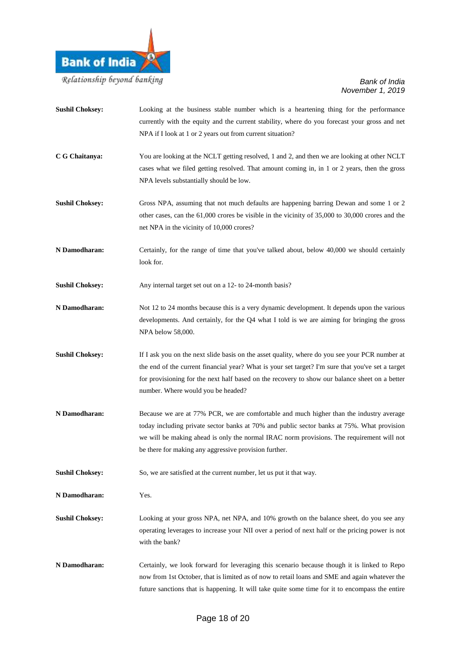

- **Sushil Choksey:** Looking at the business stable number which is a heartening thing for the performance currently with the equity and the current stability, where do you forecast your gross and net NPA if I look at 1 or 2 years out from current situation? **C G Chaitanya:** You are looking at the NCLT getting resolved, 1 and 2, and then we are looking at other NCLT cases what we filed getting resolved. That amount coming in, in 1 or 2 years, then the gross NPA levels substantially should be low. **Sushil Choksey:** Gross NPA, assuming that not much defaults are happening barring Dewan and some 1 or 2 other cases, can the 61,000 crores be visible in the vicinity of 35,000 to 30,000 crores and the net NPA in the vicinity of 10,000 crores?
- **N Damodharan:** Certainly, for the range of time that you've talked about, below 40,000 we should certainly look for.
- **Sushil Choksey:** Any internal target set out on a 12- to 24-month basis?
- **N Damodharan:** Not 12 to 24 months because this is a very dynamic development. It depends upon the various developments. And certainly, for the Q4 what I told is we are aiming for bringing the gross NPA below 58,000.
- **Sushil Choksey:** If I ask you on the next slide basis on the asset quality, where do you see your PCR number at the end of the current financial year? What is your set target? I'm sure that you've set a target for provisioning for the next half based on the recovery to show our balance sheet on a better number. Where would you be headed?
- **N Damodharan:** Because we are at 77% PCR, we are comfortable and much higher than the industry average today including private sector banks at 70% and public sector banks at 75%. What provision we will be making ahead is only the normal IRAC norm provisions. The requirement will not be there for making any aggressive provision further.
- **Sushil Choksey:** So, we are satisfied at the current number, let us put it that way.
- **N Damodharan:** Yes.
- **Sushil Choksey:** Looking at your gross NPA, net NPA, and 10% growth on the balance sheet, do you see any operating leverages to increase your NII over a period of next half or the pricing power is not with the bank?
- **N Damodharan:** Certainly, we look forward for leveraging this scenario because though it is linked to Repo now from 1st October, that is limited as of now to retail loans and SME and again whatever the future sanctions that is happening. It will take quite some time for it to encompass the entire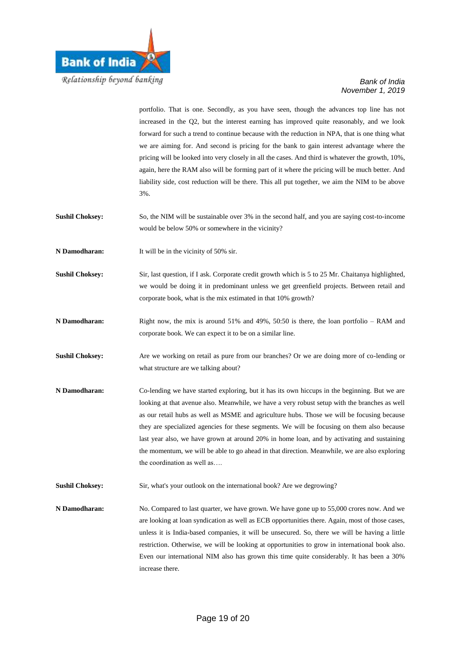

portfolio. That is one. Secondly, as you have seen, though the advances top line has not increased in the Q2, but the interest earning has improved quite reasonably, and we look forward for such a trend to continue because with the reduction in NPA, that is one thing what we are aiming for. And second is pricing for the bank to gain interest advantage where the pricing will be looked into very closely in all the cases. And third is whatever the growth, 10%, again, here the RAM also will be forming part of it where the pricing will be much better. And liability side, cost reduction will be there. This all put together, we aim the NIM to be above 3%. **Sushil Choksey:** So, the NIM will be sustainable over 3% in the second half, and you are saying cost-to-income would be below 50% or somewhere in the vicinity? **N Damodharan:** It will be in the vicinity of 50% sir. **Sushil Choksey:** Sir, last question, if I ask. Corporate credit growth which is 5 to 25 Mr. Chaitanya highlighted, we would be doing it in predominant unless we get greenfield projects. Between retail and corporate book, what is the mix estimated in that 10% growth? **N Damodharan:** Right now, the mix is around 51% and 49%, 50:50 is there, the loan portfolio – RAM and corporate book. We can expect it to be on a similar line. **Sushil Choksey:** Are we working on retail as pure from our branches? Or we are doing more of co-lending or what structure are we talking about? **N Damodharan:** Co-lending we have started exploring, but it has its own hiccups in the beginning. But we are looking at that avenue also. Meanwhile, we have a very robust setup with the branches as well as our retail hubs as well as MSME and agriculture hubs. Those we will be focusing because they are specialized agencies for these segments. We will be focusing on them also because last year also, we have grown at around 20% in home loan, and by activating and sustaining the momentum, we will be able to go ahead in that direction. Meanwhile, we are also exploring the coordination as well as…. **Sushil Choksey:** Sir, what's your outlook on the international book? Are we degrowing? **N Damodharan:** No. Compared to last quarter, we have grown. We have gone up to 55,000 crores now. And we are looking at loan syndication as well as ECB opportunities there. Again, most of those cases, unless it is India-based companies, it will be unsecured. So, there we will be having a little restriction. Otherwise, we will be looking at opportunities to grow in international book also. Even our international NIM also has grown this time quite considerably. It has been a 30% increase there.